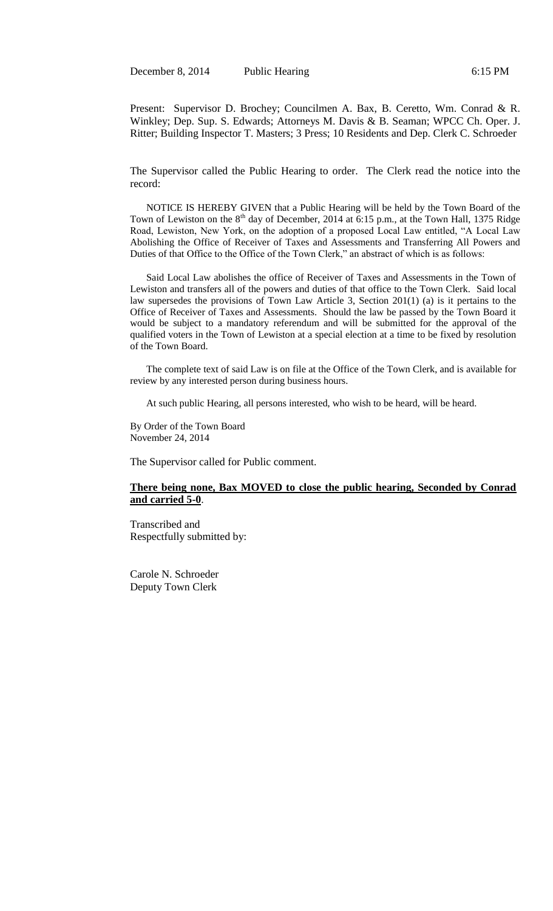December 8, 2014 Public Hearing 6:15 PM

Present: Supervisor D. Brochey; Councilmen A. Bax, B. Ceretto, Wm. Conrad & R. Winkley; Dep. Sup. S. Edwards; Attorneys M. Davis & B. Seaman; WPCC Ch. Oper. J. Ritter; Building Inspector T. Masters; 3 Press; 10 Residents and Dep. Clerk C. Schroeder

The Supervisor called the Public Hearing to order. The Clerk read the notice into the record:

NOTICE IS HEREBY GIVEN that a Public Hearing will be held by the Town Board of the Town of Lewiston on the 8<sup>th</sup> day of December, 2014 at 6:15 p.m., at the Town Hall, 1375 Ridge Road, Lewiston, New York, on the adoption of a proposed Local Law entitled, "A Local Law Abolishing the Office of Receiver of Taxes and Assessments and Transferring All Powers and Duties of that Office to the Office of the Town Clerk," an abstract of which is as follows:

Said Local Law abolishes the office of Receiver of Taxes and Assessments in the Town of Lewiston and transfers all of the powers and duties of that office to the Town Clerk. Said local law supersedes the provisions of Town Law Article 3, Section 201(1) (a) is it pertains to the Office of Receiver of Taxes and Assessments. Should the law be passed by the Town Board it would be subject to a mandatory referendum and will be submitted for the approval of the qualified voters in the Town of Lewiston at a special election at a time to be fixed by resolution of the Town Board.

 The complete text of said Law is on file at the Office of the Town Clerk, and is available for review by any interested person during business hours.

At such public Hearing, all persons interested, who wish to be heard, will be heard.

By Order of the Town Board November 24, 2014

The Supervisor called for Public comment.

## **There being none, Bax MOVED to close the public hearing, Seconded by Conrad and carried 5-0**.

Transcribed and Respectfully submitted by:

Carole N. Schroeder Deputy Town Clerk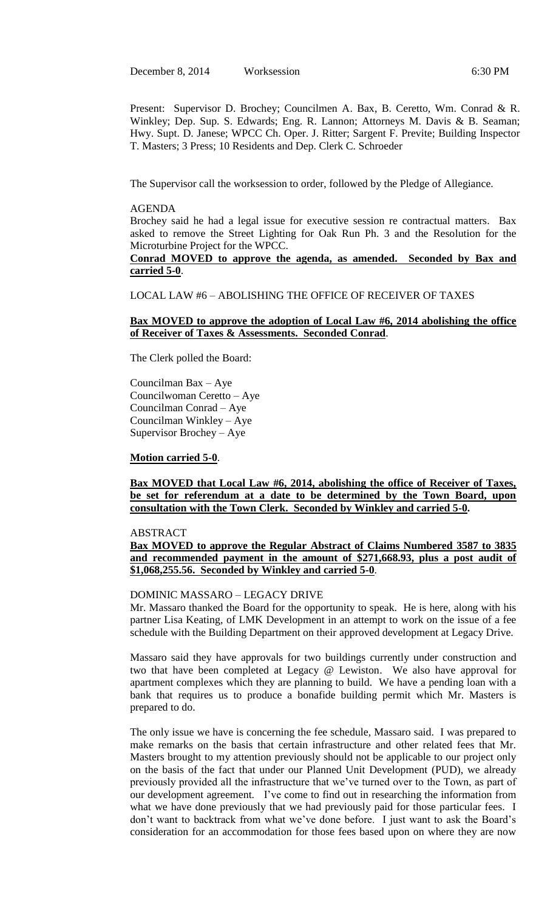December 8, 2014 Worksession 6:30 PM

Present: Supervisor D. Brochey; Councilmen A. Bax, B. Ceretto, Wm. Conrad & R. Winkley; Dep. Sup. S. Edwards; Eng. R. Lannon; Attorneys M. Davis & B. Seaman; Hwy. Supt. D. Janese; WPCC Ch. Oper. J. Ritter; Sargent F. Previte; Building Inspector T. Masters; 3 Press; 10 Residents and Dep. Clerk C. Schroeder

The Supervisor call the worksession to order, followed by the Pledge of Allegiance.

### AGENDA

Brochey said he had a legal issue for executive session re contractual matters. Bax asked to remove the Street Lighting for Oak Run Ph. 3 and the Resolution for the Microturbine Project for the WPCC.

**Conrad MOVED to approve the agenda, as amended. Seconded by Bax and carried 5-0**.

LOCAL LAW #6 – ABOLISHING THE OFFICE OF RECEIVER OF TAXES

### **Bax MOVED to approve the adoption of Local Law #6, 2014 abolishing the office of Receiver of Taxes & Assessments. Seconded Conrad**.

The Clerk polled the Board:

Councilman Bax – Aye Councilwoman Ceretto – Aye Councilman Conrad – Aye Councilman Winkley – Aye Supervisor Brochey – Aye

**Motion carried 5-0**.

**Bax MOVED that Local Law #6, 2014, abolishing the office of Receiver of Taxes, be set for referendum at a date to be determined by the Town Board, upon consultation with the Town Clerk. Seconded by Winkley and carried 5-0.**

# ABSTRACT

**Bax MOVED to approve the Regular Abstract of Claims Numbered 3587 to 3835 and recommended payment in the amount of \$271,668.93, plus a post audit of \$1,068,255.56. Seconded by Winkley and carried 5-0**.

#### DOMINIC MASSARO – LEGACY DRIVE

Mr. Massaro thanked the Board for the opportunity to speak. He is here, along with his partner Lisa Keating, of LMK Development in an attempt to work on the issue of a fee schedule with the Building Department on their approved development at Legacy Drive.

Massaro said they have approvals for two buildings currently under construction and two that have been completed at Legacy @ Lewiston. We also have approval for apartment complexes which they are planning to build. We have a pending loan with a bank that requires us to produce a bonafide building permit which Mr. Masters is prepared to do.

The only issue we have is concerning the fee schedule, Massaro said. I was prepared to make remarks on the basis that certain infrastructure and other related fees that Mr. Masters brought to my attention previously should not be applicable to our project only on the basis of the fact that under our Planned Unit Development (PUD), we already previously provided all the infrastructure that we've turned over to the Town, as part of our development agreement. I've come to find out in researching the information from what we have done previously that we had previously paid for those particular fees. I don't want to backtrack from what we've done before. I just want to ask the Board's consideration for an accommodation for those fees based upon on where they are now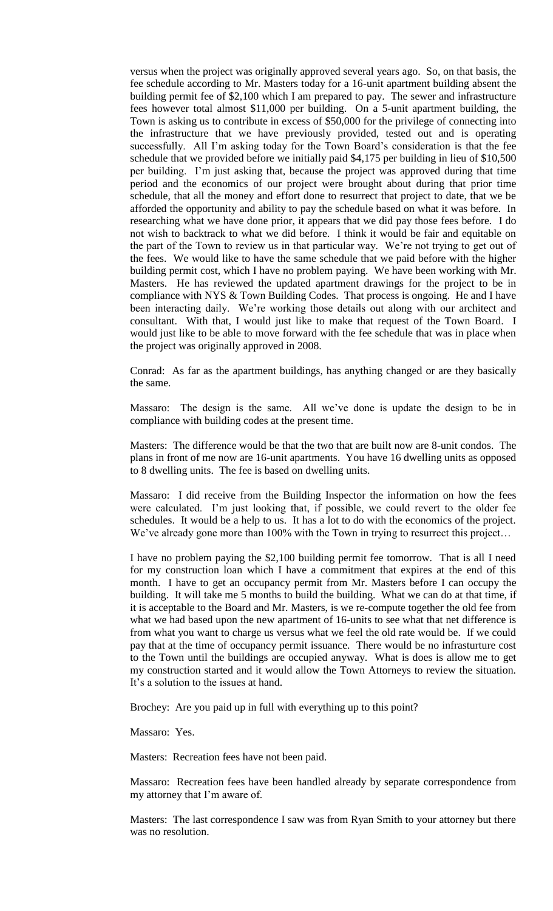versus when the project was originally approved several years ago. So, on that basis, the fee schedule according to Mr. Masters today for a 16-unit apartment building absent the building permit fee of \$2,100 which I am prepared to pay. The sewer and infrastructure fees however total almost \$11,000 per building. On a 5-unit apartment building, the Town is asking us to contribute in excess of \$50,000 for the privilege of connecting into the infrastructure that we have previously provided, tested out and is operating successfully. All I'm asking today for the Town Board's consideration is that the fee schedule that we provided before we initially paid \$4,175 per building in lieu of \$10,500 per building. I'm just asking that, because the project was approved during that time period and the economics of our project were brought about during that prior time schedule, that all the money and effort done to resurrect that project to date, that we be afforded the opportunity and ability to pay the schedule based on what it was before. In researching what we have done prior, it appears that we did pay those fees before. I do not wish to backtrack to what we did before. I think it would be fair and equitable on the part of the Town to review us in that particular way. We're not trying to get out of the fees. We would like to have the same schedule that we paid before with the higher building permit cost, which I have no problem paying. We have been working with Mr. Masters. He has reviewed the updated apartment drawings for the project to be in compliance with NYS & Town Building Codes. That process is ongoing. He and I have been interacting daily. We're working those details out along with our architect and consultant. With that, I would just like to make that request of the Town Board. I would just like to be able to move forward with the fee schedule that was in place when the project was originally approved in 2008.

Conrad: As far as the apartment buildings, has anything changed or are they basically the same.

Massaro: The design is the same. All we've done is update the design to be in compliance with building codes at the present time.

Masters: The difference would be that the two that are built now are 8-unit condos. The plans in front of me now are 16-unit apartments. You have 16 dwelling units as opposed to 8 dwelling units. The fee is based on dwelling units.

Massaro: I did receive from the Building Inspector the information on how the fees were calculated. I'm just looking that, if possible, we could revert to the older fee schedules. It would be a help to us. It has a lot to do with the economics of the project. We've already gone more than 100% with the Town in trying to resurrect this project...

I have no problem paying the \$2,100 building permit fee tomorrow. That is all I need for my construction loan which I have a commitment that expires at the end of this month. I have to get an occupancy permit from Mr. Masters before I can occupy the building. It will take me 5 months to build the building. What we can do at that time, if it is acceptable to the Board and Mr. Masters, is we re-compute together the old fee from what we had based upon the new apartment of 16-units to see what that net difference is from what you want to charge us versus what we feel the old rate would be. If we could pay that at the time of occupancy permit issuance. There would be no infrasturture cost to the Town until the buildings are occupied anyway. What is does is allow me to get my construction started and it would allow the Town Attorneys to review the situation. It's a solution to the issues at hand.

Brochey: Are you paid up in full with everything up to this point?

Massaro: Yes.

Masters: Recreation fees have not been paid.

Massaro: Recreation fees have been handled already by separate correspondence from my attorney that I'm aware of.

Masters: The last correspondence I saw was from Ryan Smith to your attorney but there was no resolution.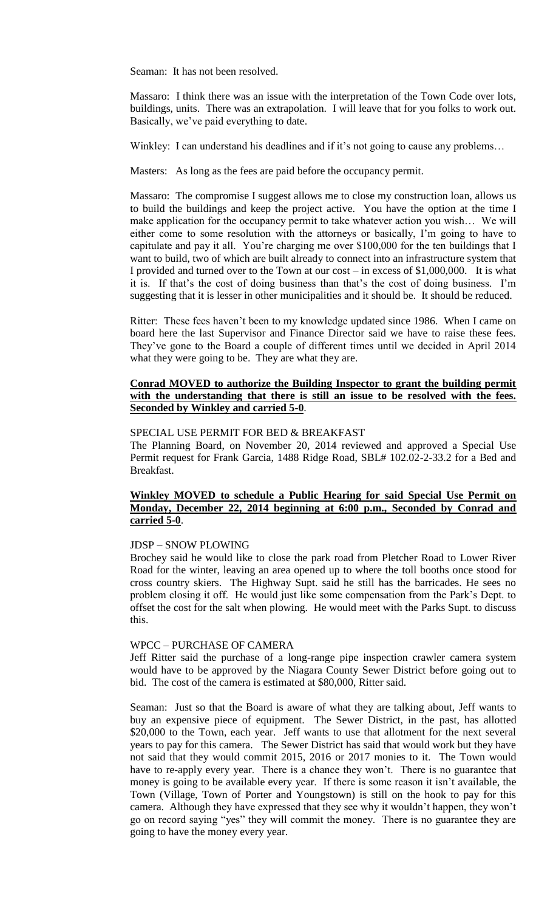Seaman: It has not been resolved.

Massaro: I think there was an issue with the interpretation of the Town Code over lots, buildings, units. There was an extrapolation. I will leave that for you folks to work out. Basically, we've paid everything to date.

Winkley: I can understand his deadlines and if it's not going to cause any problems...

Masters: As long as the fees are paid before the occupancy permit.

Massaro: The compromise I suggest allows me to close my construction loan, allows us to build the buildings and keep the project active. You have the option at the time I make application for the occupancy permit to take whatever action you wish… We will either come to some resolution with the attorneys or basically, I'm going to have to capitulate and pay it all. You're charging me over \$100,000 for the ten buildings that I want to build, two of which are built already to connect into an infrastructure system that I provided and turned over to the Town at our cost – in excess of \$1,000,000. It is what it is. If that's the cost of doing business than that's the cost of doing business. I'm suggesting that it is lesser in other municipalities and it should be. It should be reduced.

Ritter: These fees haven't been to my knowledge updated since 1986. When I came on board here the last Supervisor and Finance Director said we have to raise these fees. They've gone to the Board a couple of different times until we decided in April 2014 what they were going to be. They are what they are.

## **Conrad MOVED to authorize the Building Inspector to grant the building permit with the understanding that there is still an issue to be resolved with the fees. Seconded by Winkley and carried 5-0**.

### SPECIAL USE PERMIT FOR BED & BREAKFAST

The Planning Board, on November 20, 2014 reviewed and approved a Special Use Permit request for Frank Garcia, 1488 Ridge Road, SBL# 102.02-2-33.2 for a Bed and Breakfast.

# **Winkley MOVED to schedule a Public Hearing for said Special Use Permit on Monday, December 22, 2014 beginning at 6:00 p.m., Seconded by Conrad and carried 5-0**.

### JDSP – SNOW PLOWING

Brochey said he would like to close the park road from Pletcher Road to Lower River Road for the winter, leaving an area opened up to where the toll booths once stood for cross country skiers. The Highway Supt. said he still has the barricades. He sees no problem closing it off. He would just like some compensation from the Park's Dept. to offset the cost for the salt when plowing. He would meet with the Parks Supt. to discuss this.

# WPCC – PURCHASE OF CAMERA

Jeff Ritter said the purchase of a long-range pipe inspection crawler camera system would have to be approved by the Niagara County Sewer District before going out to bid. The cost of the camera is estimated at \$80,000, Ritter said.

Seaman: Just so that the Board is aware of what they are talking about, Jeff wants to buy an expensive piece of equipment. The Sewer District, in the past, has allotted \$20,000 to the Town, each year. Jeff wants to use that allotment for the next several years to pay for this camera. The Sewer District has said that would work but they have not said that they would commit 2015, 2016 or 2017 monies to it. The Town would have to re-apply every year. There is a chance they won't. There is no guarantee that money is going to be available every year. If there is some reason it isn't available, the Town (Village, Town of Porter and Youngstown) is still on the hook to pay for this camera. Although they have expressed that they see why it wouldn't happen, they won't go on record saying "yes" they will commit the money. There is no guarantee they are going to have the money every year.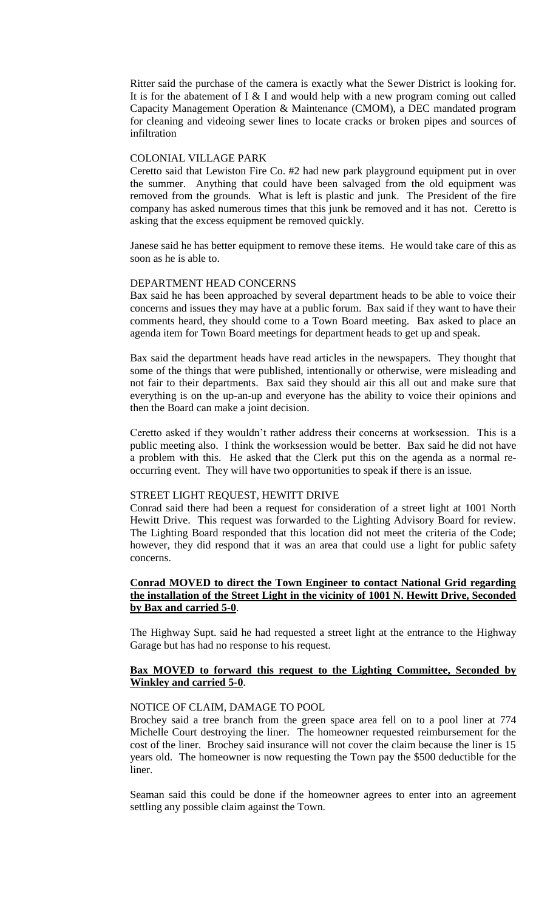Ritter said the purchase of the camera is exactly what the Sewer District is looking for. It is for the abatement of I & I and would help with a new program coming out called Capacity Management Operation & Maintenance (CMOM), a DEC mandated program for cleaning and videoing sewer lines to locate cracks or broken pipes and sources of infiltration

# COLONIAL VILLAGE PARK

Ceretto said that Lewiston Fire Co. #2 had new park playground equipment put in over the summer. Anything that could have been salvaged from the old equipment was removed from the grounds. What is left is plastic and junk. The President of the fire company has asked numerous times that this junk be removed and it has not. Ceretto is asking that the excess equipment be removed quickly.

Janese said he has better equipment to remove these items. He would take care of this as soon as he is able to.

#### DEPARTMENT HEAD CONCERNS

Bax said he has been approached by several department heads to be able to voice their concerns and issues they may have at a public forum. Bax said if they want to have their comments heard, they should come to a Town Board meeting. Bax asked to place an agenda item for Town Board meetings for department heads to get up and speak.

Bax said the department heads have read articles in the newspapers. They thought that some of the things that were published, intentionally or otherwise, were misleading and not fair to their departments. Bax said they should air this all out and make sure that everything is on the up-an-up and everyone has the ability to voice their opinions and then the Board can make a joint decision.

Ceretto asked if they wouldn't rather address their concerns at worksession. This is a public meeting also. I think the worksession would be better. Bax said he did not have a problem with this. He asked that the Clerk put this on the agenda as a normal reoccurring event. They will have two opportunities to speak if there is an issue.

## STREET LIGHT REQUEST, HEWITT DRIVE

Conrad said there had been a request for consideration of a street light at 1001 North Hewitt Drive. This request was forwarded to the Lighting Advisory Board for review. The Lighting Board responded that this location did not meet the criteria of the Code; however, they did respond that it was an area that could use a light for public safety concerns.

# **Conrad MOVED to direct the Town Engineer to contact National Grid regarding the installation of the Street Light in the vicinity of 1001 N. Hewitt Drive, Seconded by Bax and carried 5-0**.

The Highway Supt. said he had requested a street light at the entrance to the Highway Garage but has had no response to his request.

## **Bax MOVED to forward this request to the Lighting Committee, Seconded by Winkley and carried 5-0**.

#### NOTICE OF CLAIM, DAMAGE TO POOL

Brochey said a tree branch from the green space area fell on to a pool liner at 774 Michelle Court destroying the liner. The homeowner requested reimbursement for the cost of the liner. Brochey said insurance will not cover the claim because the liner is 15 years old. The homeowner is now requesting the Town pay the \$500 deductible for the liner.

Seaman said this could be done if the homeowner agrees to enter into an agreement settling any possible claim against the Town.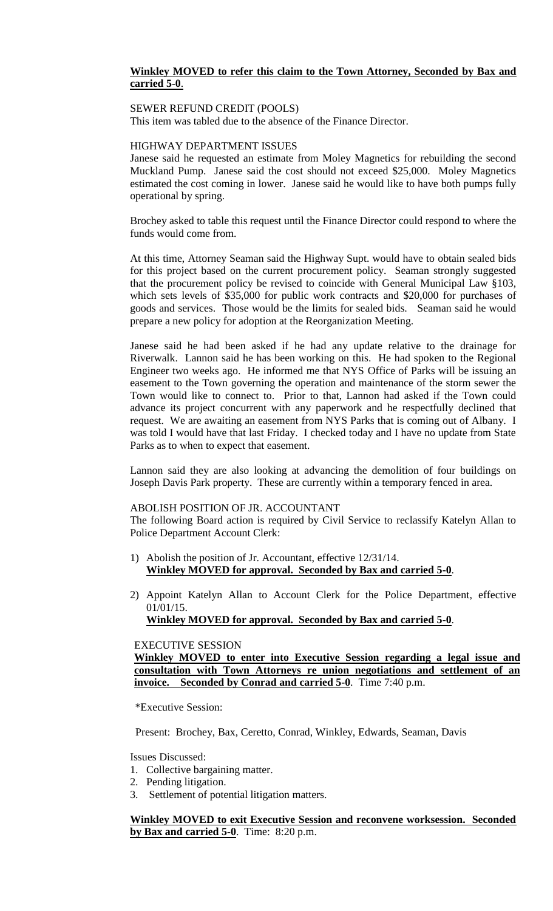# **Winkley MOVED to refer this claim to the Town Attorney, Seconded by Bax and carried 5-0**.

## SEWER REFUND CREDIT (POOLS)

This item was tabled due to the absence of the Finance Director.

### HIGHWAY DEPARTMENT ISSUES

Janese said he requested an estimate from Moley Magnetics for rebuilding the second Muckland Pump. Janese said the cost should not exceed \$25,000. Moley Magnetics estimated the cost coming in lower. Janese said he would like to have both pumps fully operational by spring.

Brochey asked to table this request until the Finance Director could respond to where the funds would come from.

At this time, Attorney Seaman said the Highway Supt. would have to obtain sealed bids for this project based on the current procurement policy. Seaman strongly suggested that the procurement policy be revised to coincide with General Municipal Law §103, which sets levels of \$35,000 for public work contracts and \$20,000 for purchases of goods and services. Those would be the limits for sealed bids. Seaman said he would prepare a new policy for adoption at the Reorganization Meeting.

Janese said he had been asked if he had any update relative to the drainage for Riverwalk. Lannon said he has been working on this. He had spoken to the Regional Engineer two weeks ago. He informed me that NYS Office of Parks will be issuing an easement to the Town governing the operation and maintenance of the storm sewer the Town would like to connect to. Prior to that, Lannon had asked if the Town could advance its project concurrent with any paperwork and he respectfully declined that request. We are awaiting an easement from NYS Parks that is coming out of Albany. I was told I would have that last Friday. I checked today and I have no update from State Parks as to when to expect that easement.

Lannon said they are also looking at advancing the demolition of four buildings on Joseph Davis Park property. These are currently within a temporary fenced in area.

# ABOLISH POSITION OF JR. ACCOUNTANT

The following Board action is required by Civil Service to reclassify Katelyn Allan to Police Department Account Clerk:

- 1) Abolish the position of Jr. Accountant, effective 12/31/14. **Winkley MOVED for approval. Seconded by Bax and carried 5-0**.
- 2) Appoint Katelyn Allan to Account Clerk for the Police Department, effective 01/01/15.

**Winkley MOVED for approval. Seconded by Bax and carried 5-0**.

# EXECUTIVE SESSION

**Winkley MOVED to enter into Executive Session regarding a legal issue and consultation with Town Attorneys re union negotiations and settlement of an invoice. Seconded by Conrad and carried 5-0**. Time 7:40 p.m.

\*Executive Session:

Present: Brochey, Bax, Ceretto, Conrad, Winkley, Edwards, Seaman, Davis

Issues Discussed:

- 1. Collective bargaining matter.
- 2. Pending litigation.
- 3. Settlement of potential litigation matters.

**Winkley MOVED to exit Executive Session and reconvene worksession. Seconded by Bax and carried 5-0**. Time: 8:20 p.m.